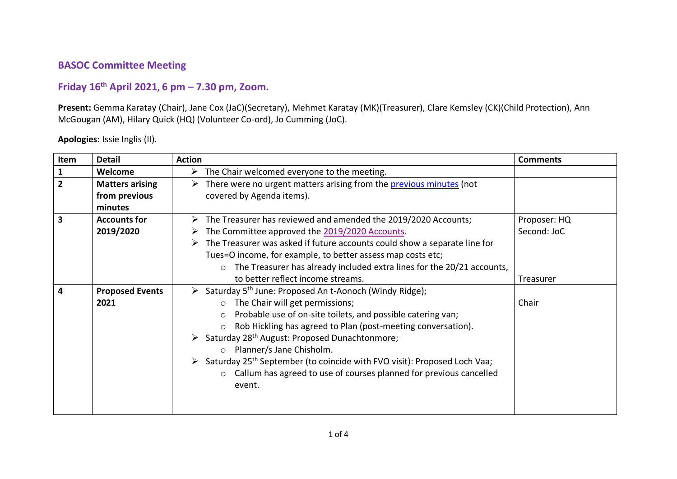## **BASOC Committee Meeting**

## **Friday 16th April 2021, 6 pm – 7.30 pm, Zoom.**

**Present:** Gemma Karatay (Chair), Jane Cox (JaC)(Secretary), Mehmet Karatay (MK)(Treasurer), Clare Kemsley (CK)(Child Protection), Ann McGougan (AM), Hilary Quick (HQ) (Volunteer Co-ord), Jo Cumming (JoC).

**Apologies:** Issie Inglis (II).

| Item           | <b>Detail</b>          | <b>Action</b>                                                                                         | <b>Comments</b> |
|----------------|------------------------|-------------------------------------------------------------------------------------------------------|-----------------|
|                | Welcome                | $\triangleright$ The Chair welcomed everyone to the meeting.                                          |                 |
| $\overline{2}$ | <b>Matters arising</b> | $\triangleright$ There were no urgent matters arising from the previous minutes (not                  |                 |
|                | from previous          | covered by Agenda items).                                                                             |                 |
|                | minutes                |                                                                                                       |                 |
| 3              | <b>Accounts for</b>    | $\triangleright$ The Treasurer has reviewed and amended the 2019/2020 Accounts;                       | Proposer: HQ    |
|                | 2019/2020              | $\triangleright$ The Committee approved the 2019/2020 Accounts.                                       | Second: JoC     |
|                |                        | $\triangleright$ The Treasurer was asked if future accounts could show a separate line for            |                 |
|                |                        | Tues=O income, for example, to better assess map costs etc;                                           |                 |
|                |                        | $\circ$ The Treasurer has already included extra lines for the 20/21 accounts,                        |                 |
|                |                        | to better reflect income streams.                                                                     | Treasurer       |
| 4              | <b>Proposed Events</b> | $\triangleright$ Saturday 5 <sup>th</sup> June: Proposed An t-Aonoch (Windy Ridge);                   |                 |
|                | 2021                   | $\circ$ The Chair will get permissions;                                                               | Chair           |
|                |                        | Probable use of on-site toilets, and possible catering van;<br>$\circ$                                |                 |
|                |                        | Rob Hickling has agreed to Plan (post-meeting conversation).<br>$\circ$                               |                 |
|                |                        | $\triangleright$ Saturday 28 <sup>th</sup> August: Proposed Dunachtonmore;                            |                 |
|                |                        | Planner/s Jane Chisholm.<br>$\circ$                                                                   |                 |
|                |                        | $\triangleright$ Saturday 25 <sup>th</sup> September (to coincide with FVO visit): Proposed Loch Vaa; |                 |
|                |                        | o Callum has agreed to use of courses planned for previous cancelled                                  |                 |
|                |                        | event.                                                                                                |                 |
|                |                        |                                                                                                       |                 |
|                |                        |                                                                                                       |                 |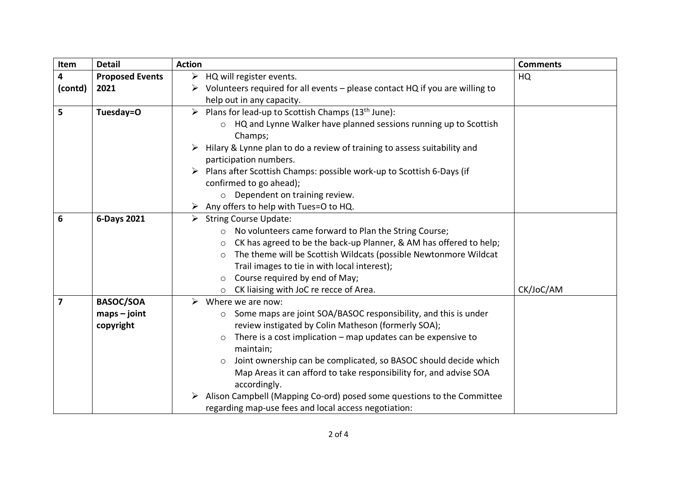| Item    | <b>Detail</b>          | <b>Action</b>                                                                     | <b>Comments</b> |
|---------|------------------------|-----------------------------------------------------------------------------------|-----------------|
| 4       | <b>Proposed Events</b> | $\triangleright$ HQ will register events.                                         | HQ              |
| (contd) | 2021                   | Volunteers required for all events - please contact HQ if you are willing to<br>➤ |                 |
|         |                        | help out in any capacity.                                                         |                 |
| 5       | Tuesday=O              | > Plans for lead-up to Scottish Champs ( $13th$ June):                            |                 |
|         |                        | HQ and Lynne Walker have planned sessions running up to Scottish<br>$\circ$       |                 |
|         |                        | Champs;                                                                           |                 |
|         |                        | Hilary & Lynne plan to do a review of training to assess suitability and<br>➤     |                 |
|         |                        | participation numbers.                                                            |                 |
|         |                        | Plans after Scottish Champs: possible work-up to Scottish 6-Days (if              |                 |
|         |                        | confirmed to go ahead);                                                           |                 |
|         |                        | o Dependent on training review.                                                   |                 |
|         |                        | Any offers to help with Tues=O to HQ.<br>➤                                        |                 |
| 6       | 6-Days 2021            | <b>String Course Update:</b><br>➤                                                 |                 |
|         |                        | No volunteers came forward to Plan the String Course;<br>$\circ$                  |                 |
|         |                        | CK has agreed to be the back-up Planner, & AM has offered to help;<br>$\circ$     |                 |
|         |                        | The theme will be Scottish Wildcats (possible Newtonmore Wildcat<br>$\circ$       |                 |
|         |                        | Trail images to tie in with local interest);                                      |                 |
|         |                        | Course required by end of May;<br>O                                               |                 |
|         |                        | CK liaising with JoC re recce of Area.<br>$\circ$                                 | CK/JoC/AM       |
| 7       | <b>BASOC/SOA</b>       | $\triangleright$ Where we are now:                                                |                 |
|         | $maps - joint$         | Some maps are joint SOA/BASOC responsibility, and this is under<br>$\circ$        |                 |
|         | copyright              | review instigated by Colin Matheson (formerly SOA);                               |                 |
|         |                        | There is a cost implication $-$ map updates can be expensive to<br>O              |                 |
|         |                        | maintain;                                                                         |                 |
|         |                        | Joint ownership can be complicated, so BASOC should decide which<br>$\circ$       |                 |
|         |                        | Map Areas it can afford to take responsibility for, and advise SOA                |                 |
|         |                        | accordingly.                                                                      |                 |
|         |                        | Alison Campbell (Mapping Co-ord) posed some questions to the Committee<br>➤       |                 |
|         |                        | regarding map-use fees and local access negotiation:                              |                 |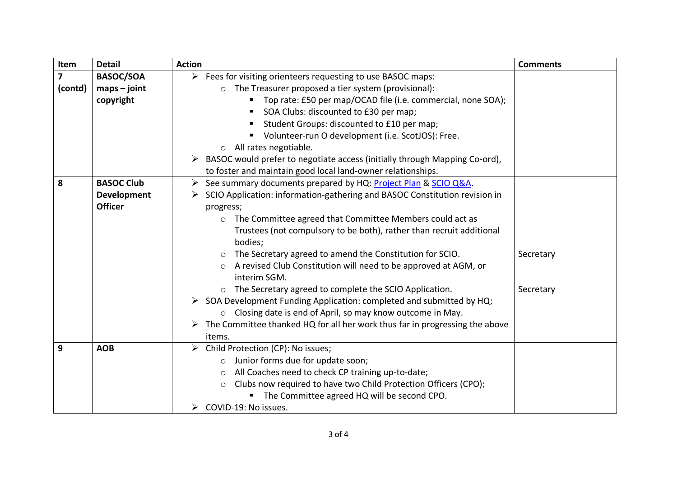| Item    | <b>Detail</b>                                                                            | <b>Action</b>                                                                                | <b>Comments</b> |
|---------|------------------------------------------------------------------------------------------|----------------------------------------------------------------------------------------------|-----------------|
| 7       | <b>BASOC/SOA</b>                                                                         | $\triangleright$ Fees for visiting orienteers requesting to use BASOC maps:                  |                 |
| (contd) | $maps - joint$                                                                           | o The Treasurer proposed a tier system (provisional):                                        |                 |
|         | copyright                                                                                | Top rate: £50 per map/OCAD file (i.e. commercial, none SOA);                                 |                 |
|         |                                                                                          | SOA Clubs: discounted to £30 per map;                                                        |                 |
|         |                                                                                          | Student Groups: discounted to £10 per map;                                                   |                 |
|         |                                                                                          | Volunteer-run O development (i.e. ScotJOS): Free.                                            |                 |
|         |                                                                                          | All rates negotiable.<br>$\circ$                                                             |                 |
|         |                                                                                          | BASOC would prefer to negotiate access (initially through Mapping Co-ord),<br>➤              |                 |
|         |                                                                                          | to foster and maintain good local land-owner relationships.                                  |                 |
| 8       | <b>BASOC Club</b><br>See summary documents prepared by HQ: Project Plan & SCIO Q&A.<br>➤ |                                                                                              |                 |
|         | <b>Development</b>                                                                       | SCIO Application: information-gathering and BASOC Constitution revision in                   |                 |
|         | <b>Officer</b>                                                                           | progress;                                                                                    |                 |
|         |                                                                                          | The Committee agreed that Committee Members could act as<br>$\circ$                          |                 |
|         |                                                                                          | Trustees (not compulsory to be both), rather than recruit additional                         |                 |
|         |                                                                                          | bodies;                                                                                      |                 |
|         |                                                                                          | The Secretary agreed to amend the Constitution for SCIO.<br>$\circ$                          | Secretary       |
|         |                                                                                          | A revised Club Constitution will need to be approved at AGM, or<br>interim SGM.              |                 |
|         |                                                                                          | The Secretary agreed to complete the SCIO Application.<br>$\circ$                            | Secretary       |
|         |                                                                                          | $\triangleright$ SOA Development Funding Application: completed and submitted by HQ;         |                 |
|         |                                                                                          | ○ Closing date is end of April, so may know outcome in May.                                  |                 |
|         |                                                                                          | $\triangleright$ The Committee thanked HQ for all her work thus far in progressing the above |                 |
|         |                                                                                          | items.                                                                                       |                 |
| 9       | <b>AOB</b>                                                                               | Child Protection (CP): No issues;<br>➤                                                       |                 |
|         |                                                                                          | Junior forms due for update soon;<br>O                                                       |                 |
|         |                                                                                          | All Coaches need to check CP training up-to-date;<br>$\circ$                                 |                 |
|         |                                                                                          | Clubs now required to have two Child Protection Officers (CPO);<br>$\circ$                   |                 |
|         |                                                                                          | The Committee agreed HQ will be second CPO.                                                  |                 |
|         |                                                                                          | COVID-19: No issues.                                                                         |                 |